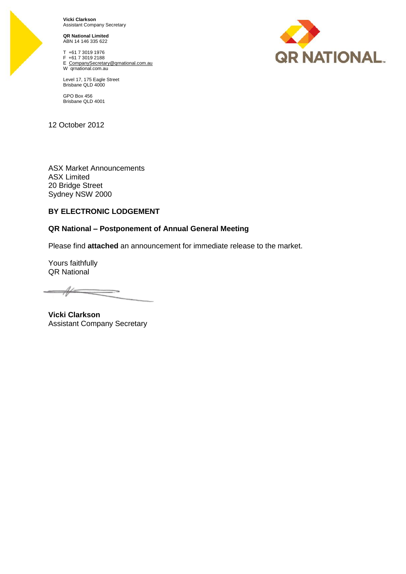

**Vicki Clarkson** Assistant Company Secretary

**QR National Limited** ABN 14 146 335 622

T +61 7 3019 1976 F +61 7 3019 2188 E CompanySecretary@qrnational.com.au W qrnational.com.au



Level 17, 175 Eagle Street Brisbane QLD 4000

GPO Box 456 Brisbane QLD 4001

12 October 2012

ASX Market Announcements ASX Limited 20 Bridge Street Sydney NSW 2000

# **BY ELECTRONIC LODGEMENT**

### **QR National – Postponement of Annual General Meeting**

Please find **attached** an announcement for immediate release to the market.

Yours faithfully QR National

**Vicki Clarkson** Assistant Company Secretary